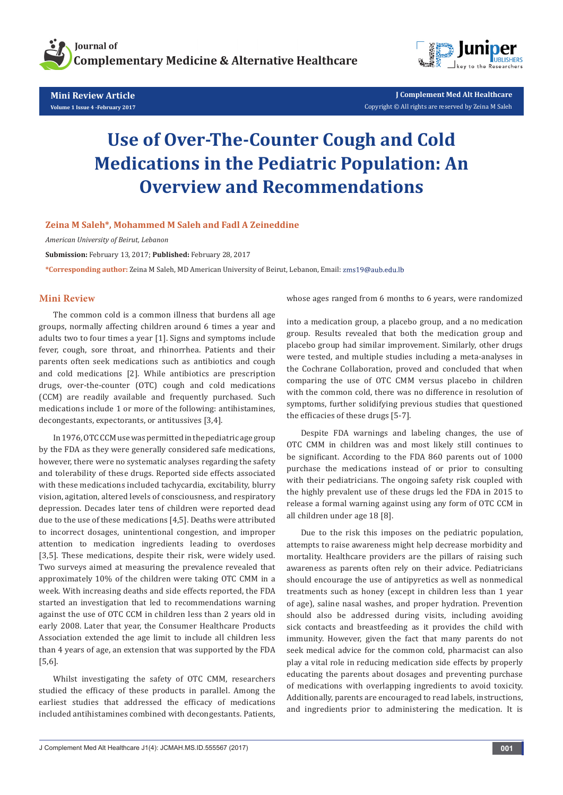

**Mini Review Article Volume 1 Issue 4 -February 2017**



**J Complement Med Alt Healthcare** Copyright © All rights are reserved by Zeina M Saleh

# **Use of Over-The-Counter Cough and Cold Medications in the Pediatric Population: An Overview and Recommendations**

### **Zeina M Saleh\*, Mohammed M Saleh and Fadl A Zeineddine**

*American University of Beirut, Lebanon*

**Submission:** February 13, 2017; **Published:** February 28, 2017

**\*Corresponding author:** Zeina M Saleh, MD American University of Beirut, Lebanon, Email:

### **Mini Review**

The common cold is a common illness that burdens all age groups, normally affecting children around 6 times a year and adults two to four times a year [1]. Signs and symptoms include fever, cough, sore throat, and rhinorrhea. Patients and their parents often seek medications such as antibiotics and cough and cold medications [2]. While antibiotics are prescription drugs, over-the-counter (OTC) cough and cold medications (CCM) are readily available and frequently purchased. Such medications include 1 or more of the following: antihistamines, decongestants, expectorants, or antitussives [3,4].

In 1976, OTC CCM use was permitted in the pediatric age group by the FDA as they were generally considered safe medications, however, there were no systematic analyses regarding the safety and tolerability of these drugs. Reported side effects associated with these medications included tachycardia, excitability, blurry vision, agitation, altered levels of consciousness, and respiratory depression. Decades later tens of children were reported dead due to the use of these medications [4,5]. Deaths were attributed to incorrect dosages, unintentional congestion, and improper attention to medication ingredients leading to overdoses [3,5]. These medications, despite their risk, were widely used. Two surveys aimed at measuring the prevalence revealed that approximately 10% of the children were taking OTC CMM in a week. With increasing deaths and side effects reported, the FDA started an investigation that led to recommendations warning against the use of OTC CCM in children less than 2 years old in early 2008. Later that year, the Consumer Healthcare Products Association extended the age limit to include all children less than 4 years of age, an extension that was supported by the FDA [5,6].

Whilst investigating the safety of OTC CMM, researchers studied the efficacy of these products in parallel. Among the earliest studies that addressed the efficacy of medications included antihistamines combined with decongestants. Patients,

whose ages ranged from 6 months to 6 years, were randomized

into a medication group, a placebo group, and a no medication group. Results revealed that both the medication group and placebo group had similar improvement. Similarly, other drugs were tested, and multiple studies including a meta-analyses in the Cochrane Collaboration, proved and concluded that when comparing the use of OTC CMM versus placebo in children with the common cold, there was no difference in resolution of symptoms, further solidifying previous studies that questioned the efficacies of these drugs [5-7].

Despite FDA warnings and labeling changes, the use of OTC CMM in children was and most likely still continues to be significant. According to the FDA 860 parents out of 1000 purchase the medications instead of or prior to consulting with their pediatricians. The ongoing safety risk coupled with the highly prevalent use of these drugs led the FDA in 2015 to release a formal warning against using any form of OTC CCM in all children under age 18 [8].

Due to the risk this imposes on the pediatric population, attempts to raise awareness might help decrease morbidity and mortality. Healthcare providers are the pillars of raising such awareness as parents often rely on their advice. Pediatricians should encourage the use of antipyretics as well as nonmedical treatments such as honey (except in children less than 1 year of age), saline nasal washes, and proper hydration. Prevention should also be addressed during visits, including avoiding sick contacts and breastfeeding as it provides the child with immunity. However, given the fact that many parents do not seek medical advice for the common cold, pharmacist can also play a vital role in reducing medication side effects by properly educating the parents about dosages and preventing purchase of medications with overlapping ingredients to avoid toxicity. Additionally, parents are encouraged to read labels, instructions, and ingredients prior to administering the medication. It is